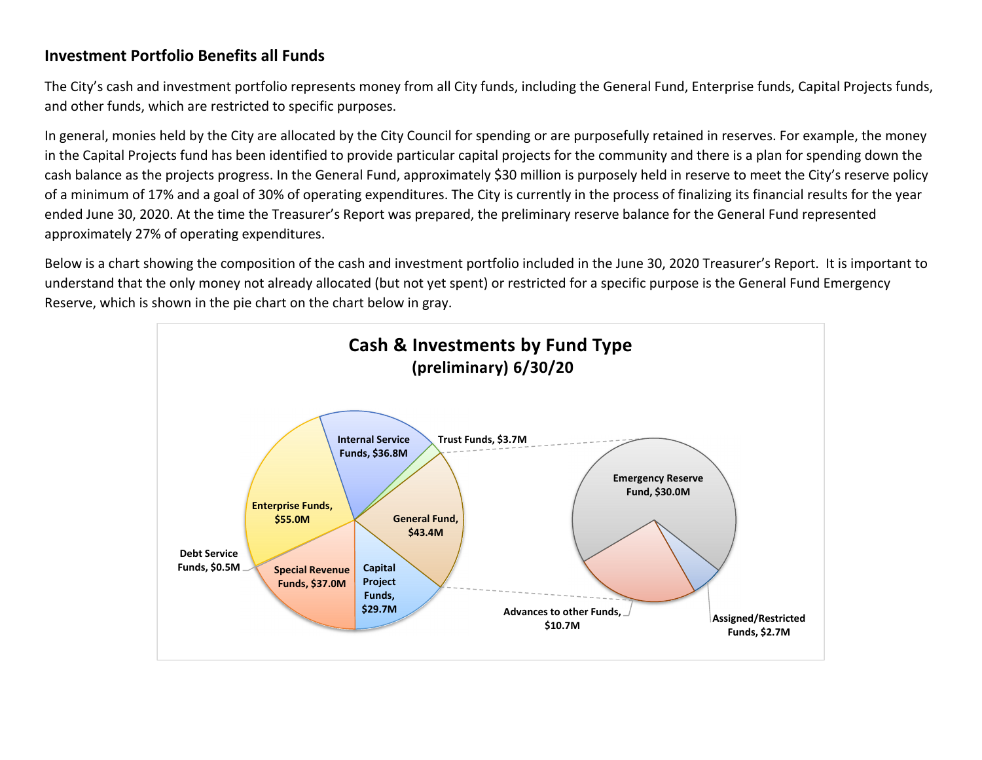## **Investment Portfolio Benefits all Funds**

The City's cash and investment portfolio represents money from all City funds, including the General Fund, Enterprise funds, Capital Projects funds, and other funds, which are restricted to specific purposes.

In general, monies held by the City are allocated by the City Council for spending or are purposefully retained in reserves. For example, the money in the Capital Projects fund has been identified to provide particular capital projects for the community and there is <sup>a</sup> plan for spending down the cash balance as the projects progress. In the General Fund, approximately \$30 million is purposely held in reserve to meet the City's reserve policy of a minimum of 17% and <sup>a</sup> goal of 30% of operating expenditures. The City is currently in the process of finalizing its financial results for the year ended June 30, 2020. At the time the Treasurer's Report was prepared, the preliminary reserve balance for the General Fund represented approximately 27% of operating expenditures.

Below is <sup>a</sup> chart showing the composition of the cash and investment portfolio included in the June 30, 2020 Treasurer's Report. It is important to understand that the only money not already allocated (but not yet spent) or restricted for <sup>a</sup> specific purpose is the General Fund Emergency Reserve, which is shown in the pie chart on the chart below in gray.